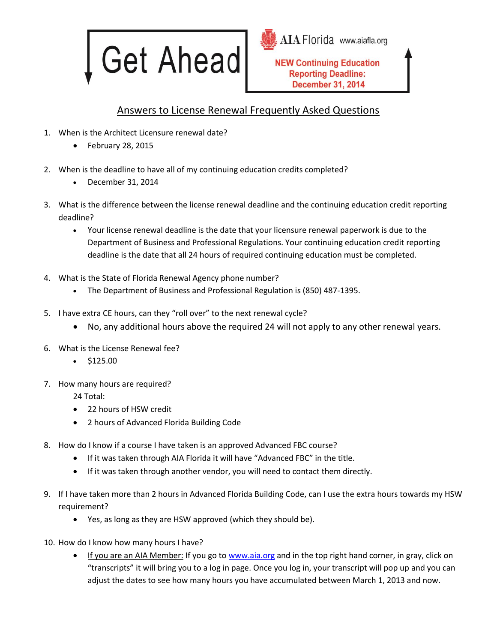

AIA Florida www.aiafla.org

**NEW Continuing Education Reporting Deadline: December 31, 2014** 

## Answers to License Renewal Frequently Asked Questions

- 1. When is the Architect Licensure renewal date?
	- $\bullet$  February 28, 2015
- 2. When is the deadline to have all of my continuing education credits completed?
	- December 31, 2014
- 3. What is the difference between the license renewal deadline and the continuing education credit reporting deadline?
	- Your license renewal deadline is the date that your licensure renewal paperwork is due to the Department of Business and Professional Regulations. Your continuing education credit reporting deadline is the date that all 24 hours of required continuing education must be completed.
- 4. What is the State of Florida Renewal Agency phone number?
	- The Department of Business and Professional Regulation is (850) 487-1395.
- 5. I have extra CE hours, can they "roll over" to the next renewal cycle?
	- No, any additional hours above the required 24 will not apply to any other renewal years.
- 6. What is the License Renewal fee?
	- \$125.00
- 7. How many hours are required?

24 Total:

- 22 hours of HSW credit
- 2 hours of Advanced Florida Building Code
- 8. How do I know if a course I have taken is an approved Advanced FBC course?
	- If it was taken through AIA Florida it will have "Advanced FBC" in the title.
	- If it was taken through another vendor, you will need to contact them directly.
- 9. If I have taken more than 2 hours in Advanced Florida Building Code, can I use the extra hours towards my HSW requirement?
	- Yes, as long as they are HSW approved (which they should be).
- 10. How do I know how many hours I have?
	- If you are an AIA Member: If you go t[o www.aia.org](http://www.aia.org/) and in the top right hand corner, in gray, click on "transcripts" it will bring you to a log in page. Once you log in, your transcript will pop up and you can adjust the dates to see how many hours you have accumulated between March 1, 2013 and now.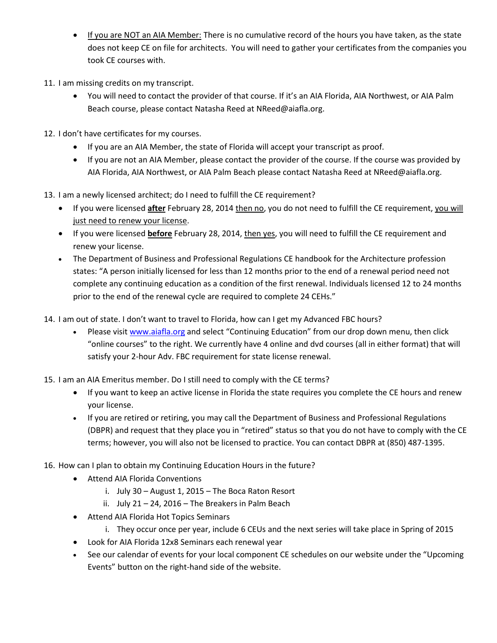- If you are NOT an AIA Member: There is no cumulative record of the hours you have taken, as the state does not keep CE on file for architects. You will need to gather your certificates from the companies you took CE courses with.
- 11. I am missing credits on my transcript.
	- You will need to contact the provider of that course. If it's an AIA Florida, AIA Northwest, or AIA Palm Beach course, please contact Natasha Reed at NReed@aiafla.org.
- 12. I don't have certificates for my courses.
	- If you are an AIA Member, the state of Florida will accept your transcript as proof.
	- If you are not an AIA Member, please contact the provider of the course. If the course was provided by AIA Florida, AIA Northwest, or AIA Palm Beach please contact Natasha Reed at NReed@aiafla.org.
- 13. I am a newly licensed architect; do I need to fulfill the CE requirement?
	- If you were licensed **after** February 28, 2014 then no, you do not need to fulfill the CE requirement, you will just need to renew your license.
	- If you were licensed **before** February 28, 2014, then yes, you will need to fulfill the CE requirement and renew your license.
	- The Department of Business and Professional Regulations CE handbook for the Architecture profession states: "A person initially licensed for less than 12 months prior to the end of a renewal period need not complete any continuing education as a condition of the first renewal. Individuals licensed 12 to 24 months prior to the end of the renewal cycle are required to complete 24 CEHs."
- 14. I am out of state. I don't want to travel to Florida, how can I get my Advanced FBC hours?
	- Please visi[t www.aiafla.org](http://www.aiafla.org/) and select "Continuing Education" from our drop down menu, then click "online courses" to the right. We currently have 4 online and dvd courses (all in either format) that will satisfy your 2-hour Adv. FBC requirement for state license renewal.
- 15. I am an AIA Emeritus member. Do I still need to comply with the CE terms?
	- If you want to keep an active license in Florida the state requires you complete the CE hours and renew your license.
	- If you are retired or retiring, you may call the Department of Business and Professional Regulations (DBPR) and request that they place you in "retired" status so that you do not have to comply with the CE terms; however, you will also not be licensed to practice. You can contact DBPR at (850) 487-1395.
- 16. How can I plan to obtain my Continuing Education Hours in the future?
	- Attend AIA Florida Conventions
		- i. July 30 August 1, 2015 The Boca Raton Resort
		- ii. July 21 24, 2016 The Breakers in Palm Beach
	- Attend AIA Florida Hot Topics Seminars
		- i. They occur once per year, include 6 CEUs and the next series will take place in Spring of 2015
	- Look for AIA Florida 12x8 Seminars each renewal year
	- See our calendar of events for your local component CE schedules on our website under the "Upcoming" Events" button on the right-hand side of the website.